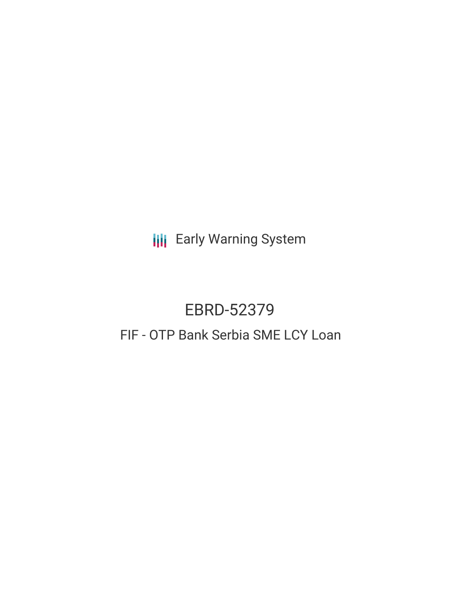**III** Early Warning System

# EBRD-52379

# FIF - OTP Bank Serbia SME LCY Loan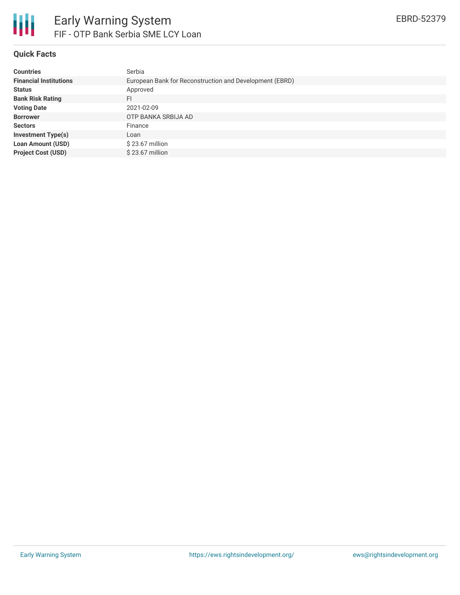

### **Quick Facts**

| <b>Countries</b>              | Serbia                                                  |
|-------------------------------|---------------------------------------------------------|
| <b>Financial Institutions</b> | European Bank for Reconstruction and Development (EBRD) |
| <b>Status</b>                 | Approved                                                |
| <b>Bank Risk Rating</b>       | FI                                                      |
| <b>Voting Date</b>            | 2021-02-09                                              |
| <b>Borrower</b>               | OTP BANKA SRBIJA AD                                     |
| <b>Sectors</b>                | Finance                                                 |
| <b>Investment Type(s)</b>     | Loan                                                    |
| <b>Loan Amount (USD)</b>      | $$23.67$ million                                        |
| <b>Project Cost (USD)</b>     | $$23.67$ million                                        |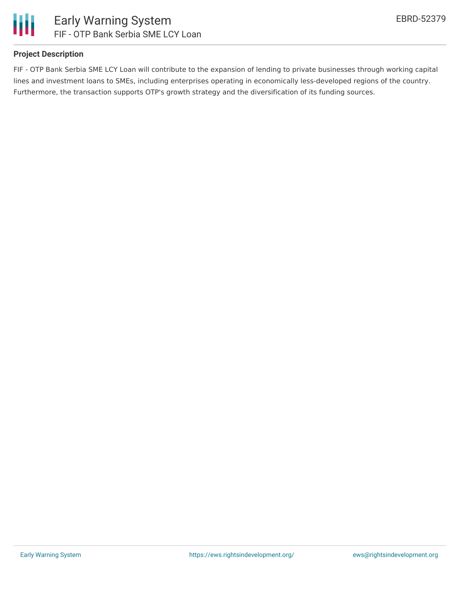

## **Project Description**

FIF - OTP Bank Serbia SME LCY Loan will contribute to the expansion of lending to private businesses through working capital lines and investment loans to SMEs, including enterprises operating in economically less-developed regions of the country. Furthermore, the transaction supports OTP's growth strategy and the diversification of its funding sources.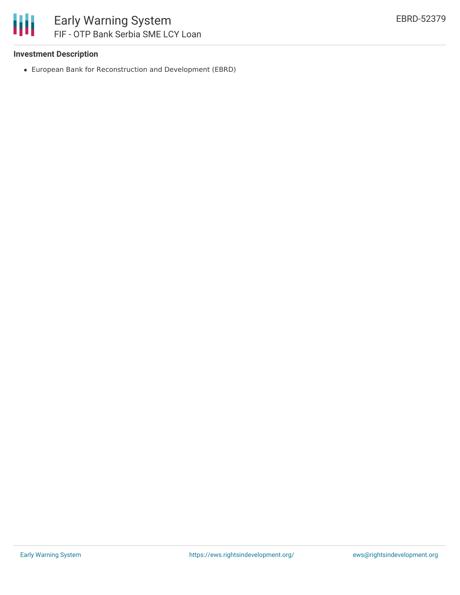

#### **Investment Description**

European Bank for Reconstruction and Development (EBRD)